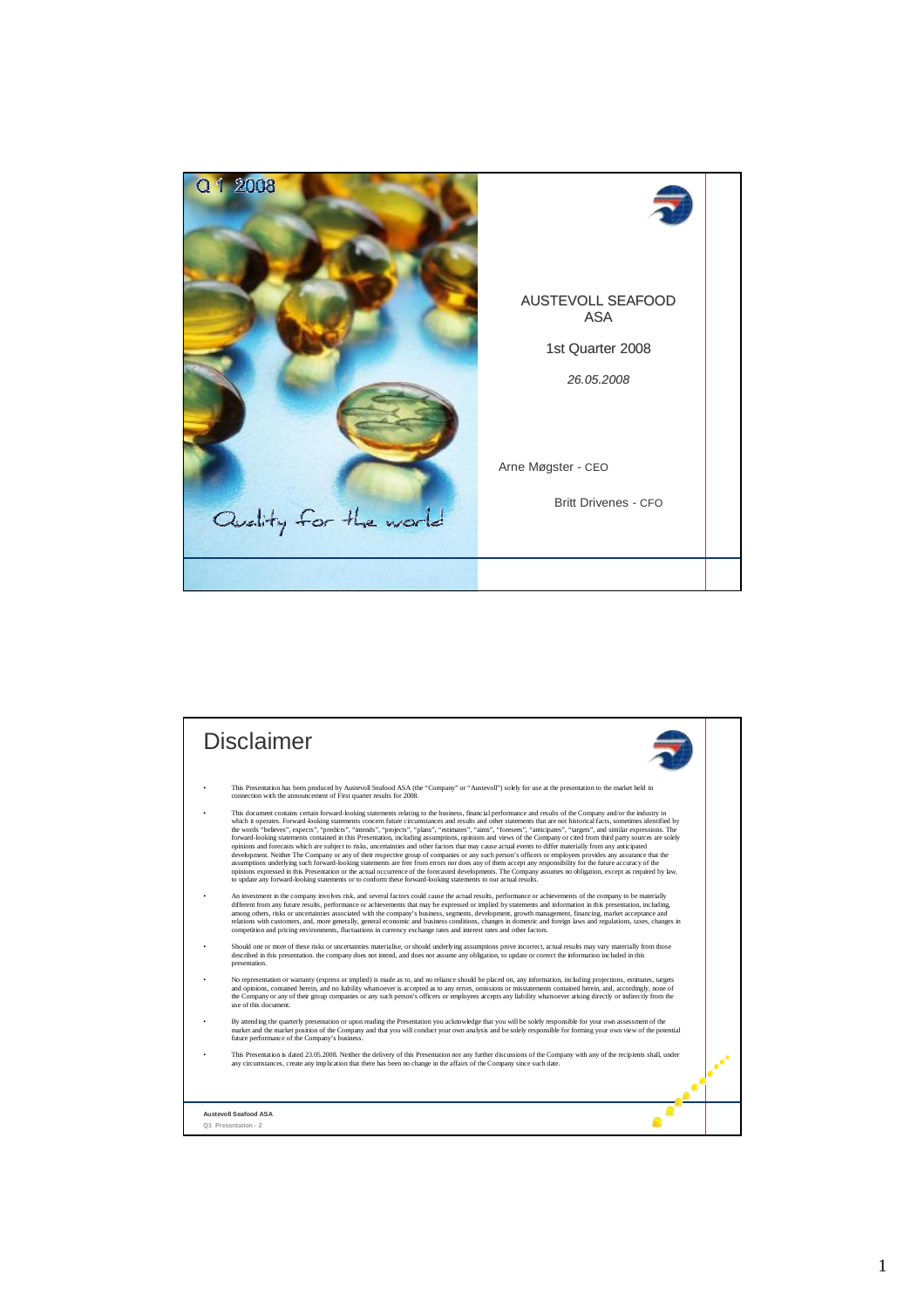

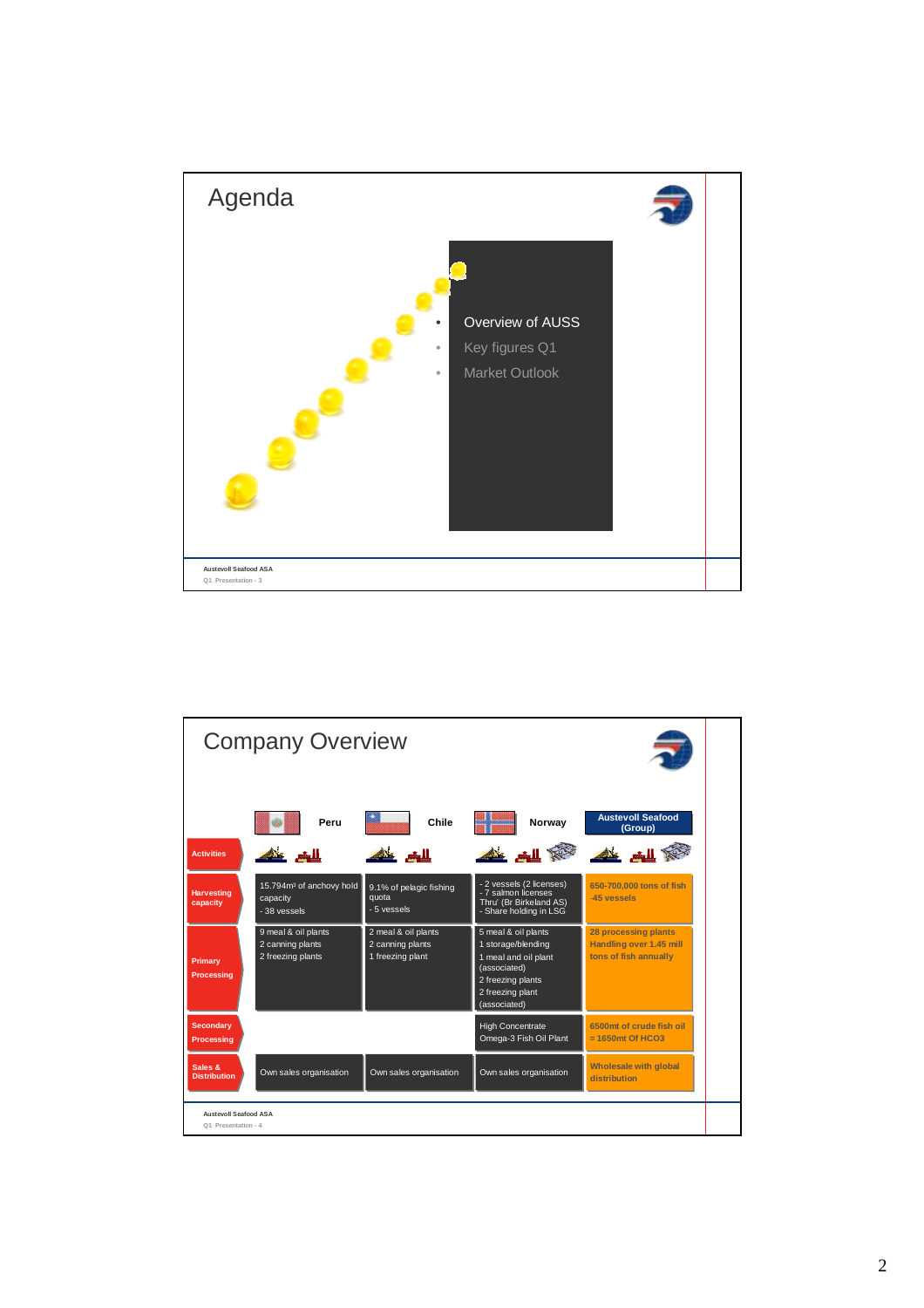

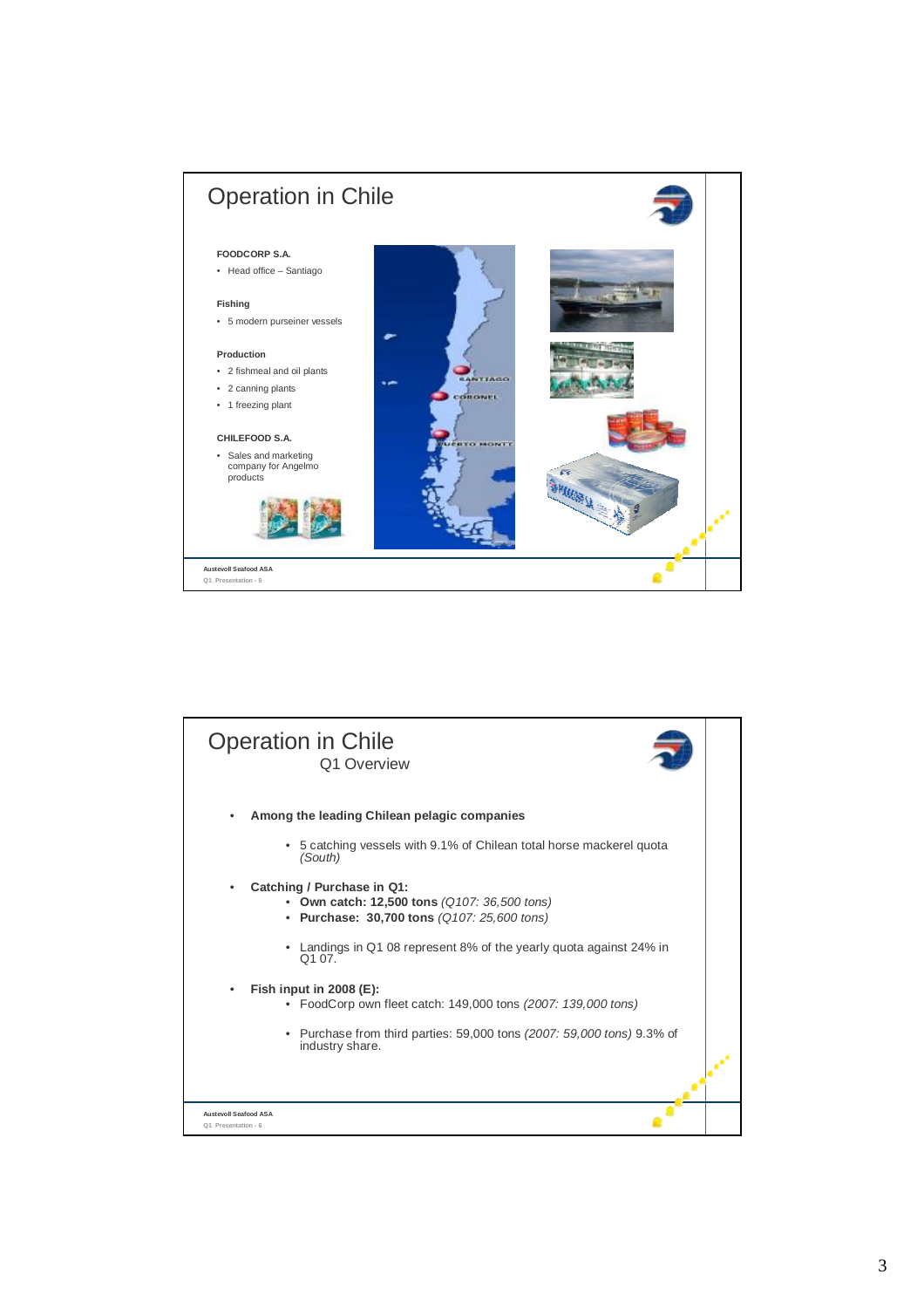

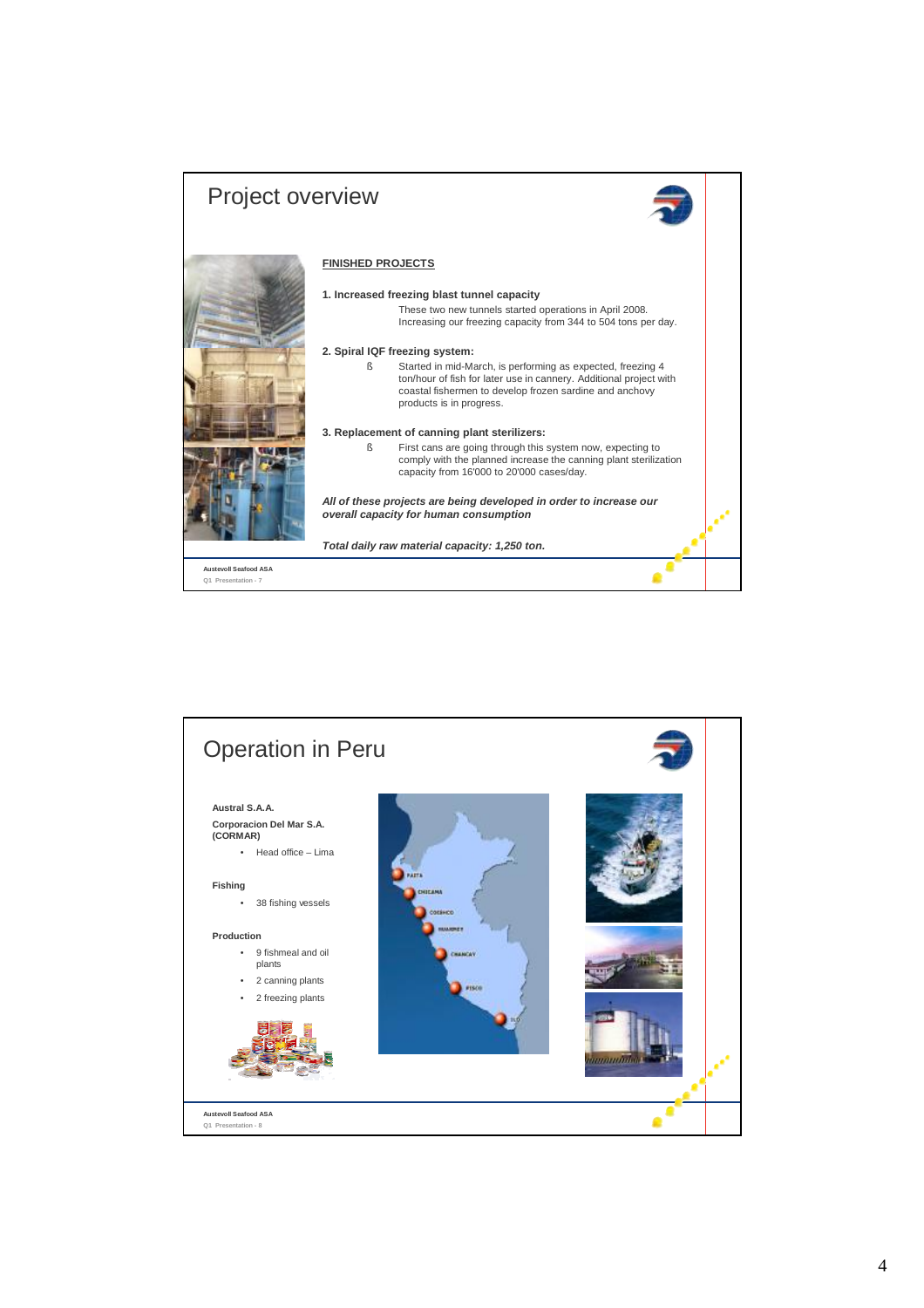

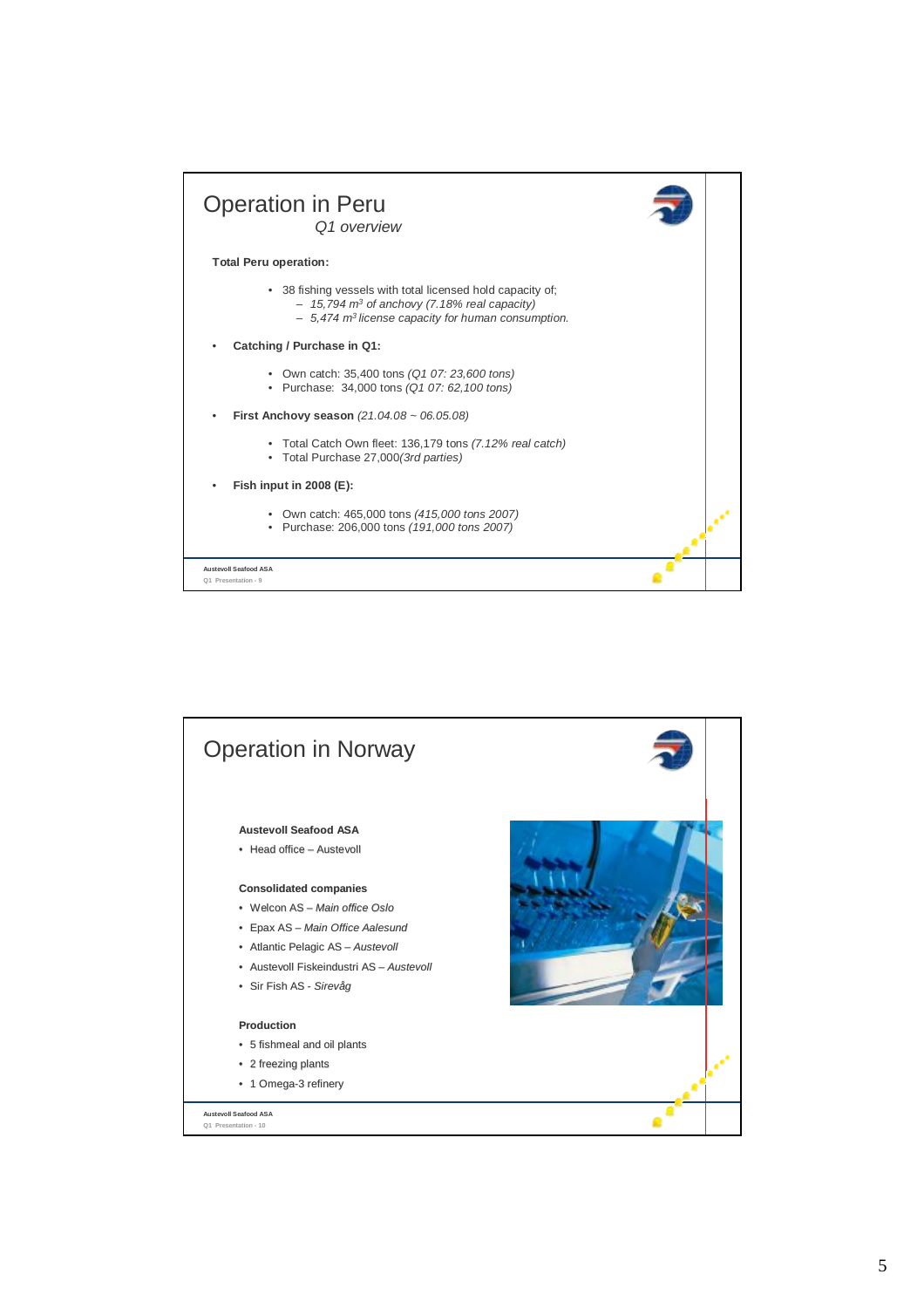

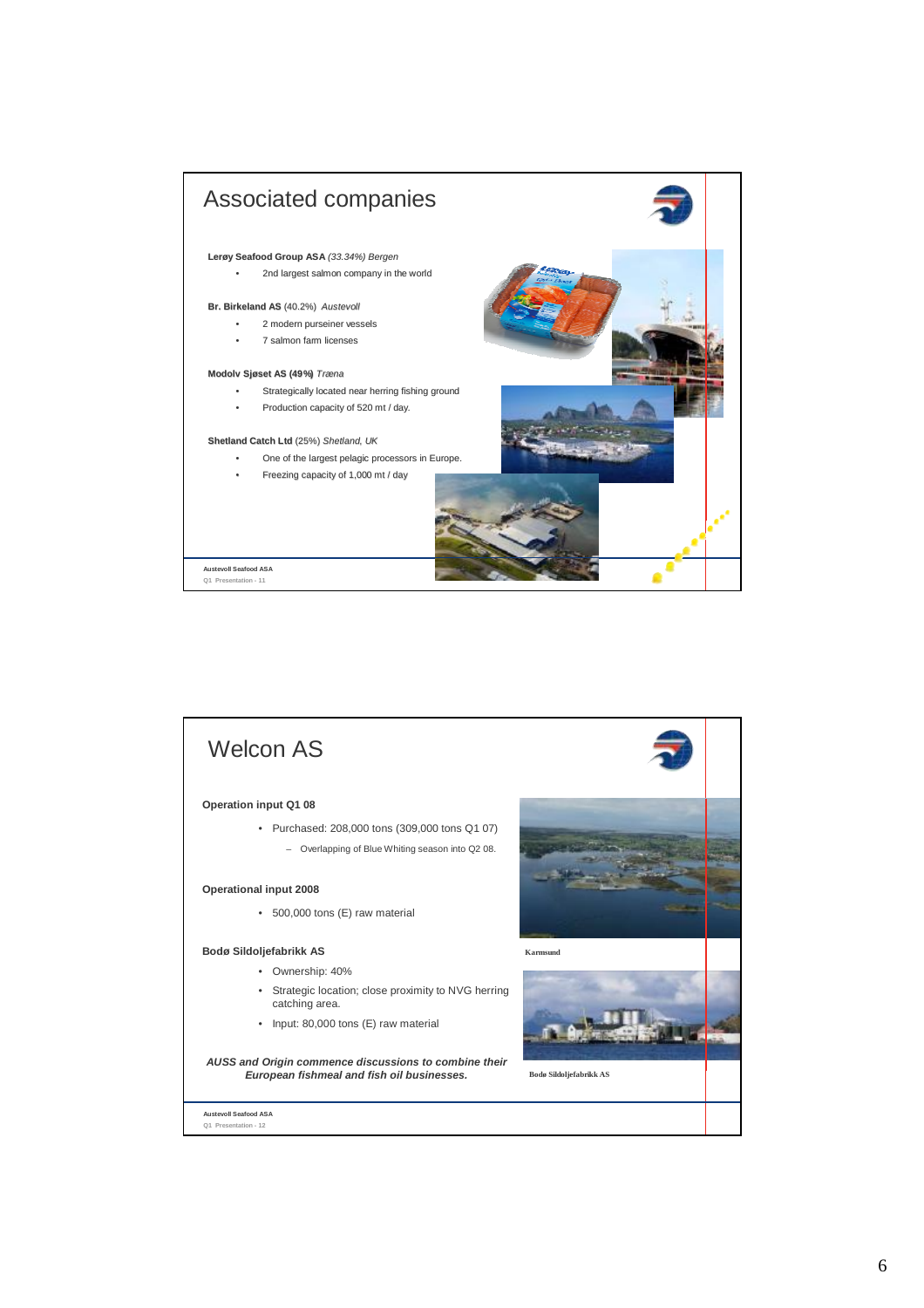

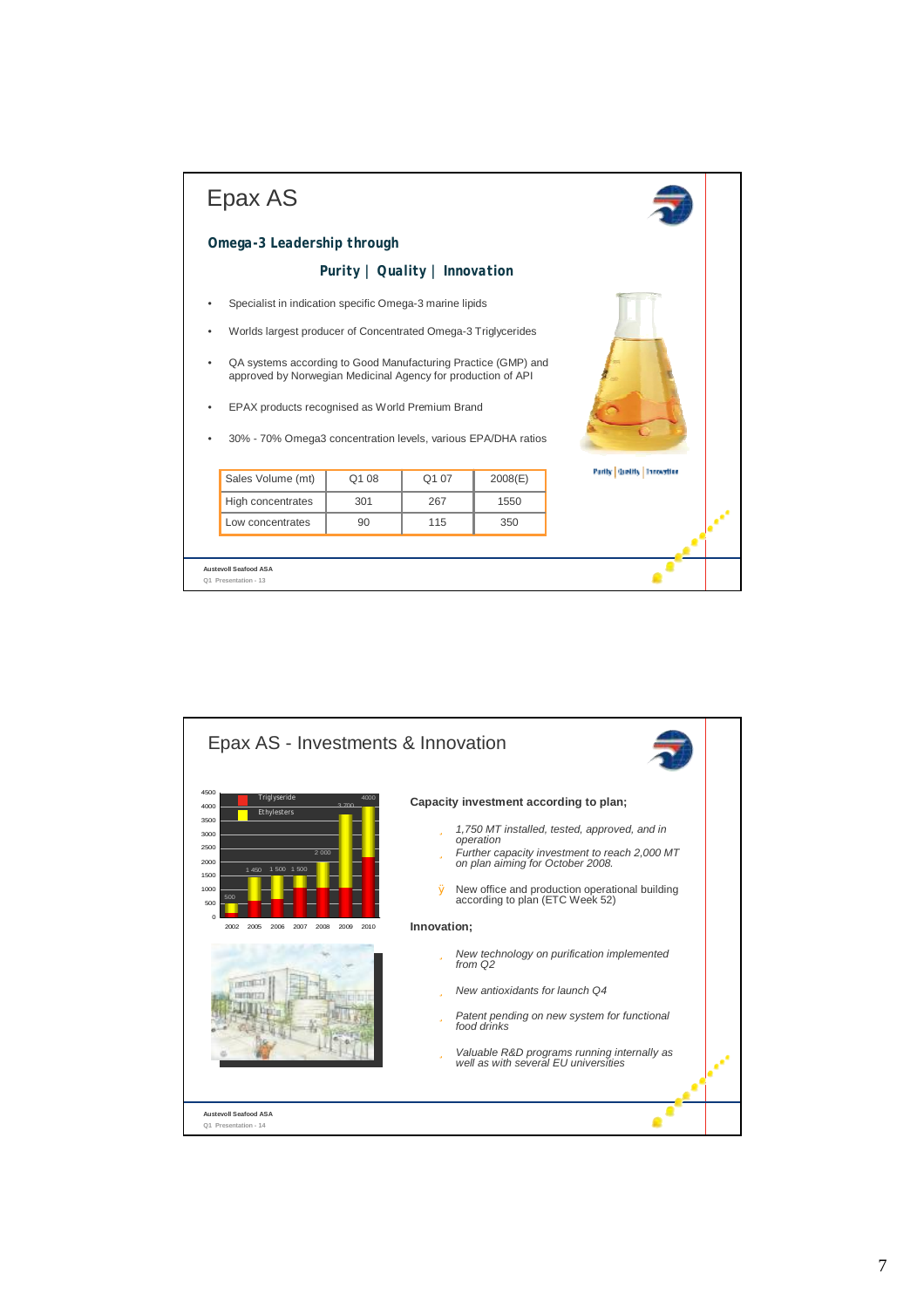| Epax AS                                                                                                                       |                               |       |         |                                  |  |
|-------------------------------------------------------------------------------------------------------------------------------|-------------------------------|-------|---------|----------------------------------|--|
| Omega-3 Leadership through                                                                                                    |                               |       |         |                                  |  |
|                                                                                                                               | Purity   Quality   Innovation |       |         |                                  |  |
| Specialist in indication specific Omega-3 marine lipids                                                                       |                               |       |         |                                  |  |
| Worlds largest producer of Concentrated Omega-3 Triglycerides                                                                 |                               |       |         |                                  |  |
| QA systems according to Good Manufacturing Practice (GMP) and<br>approved by Norwegian Medicinal Agency for production of API |                               |       |         |                                  |  |
| EPAX products recognised as World Premium Brand<br>30% - 70% Omega3 concentration levels, various EPA/DHA ratios              |                               |       |         |                                  |  |
|                                                                                                                               |                               |       |         | <b>Partly Greitly Innovation</b> |  |
| Sales Volume (mt)                                                                                                             | Q1 08                         | Q1 07 | 2008(E) |                                  |  |
| High concentrates                                                                                                             | 301                           | 267   | 1550    |                                  |  |
| Low concentrates                                                                                                              | 90                            | 115   | 350     |                                  |  |
| <b>Austevoll Seafood ASA</b>                                                                                                  |                               |       |         |                                  |  |

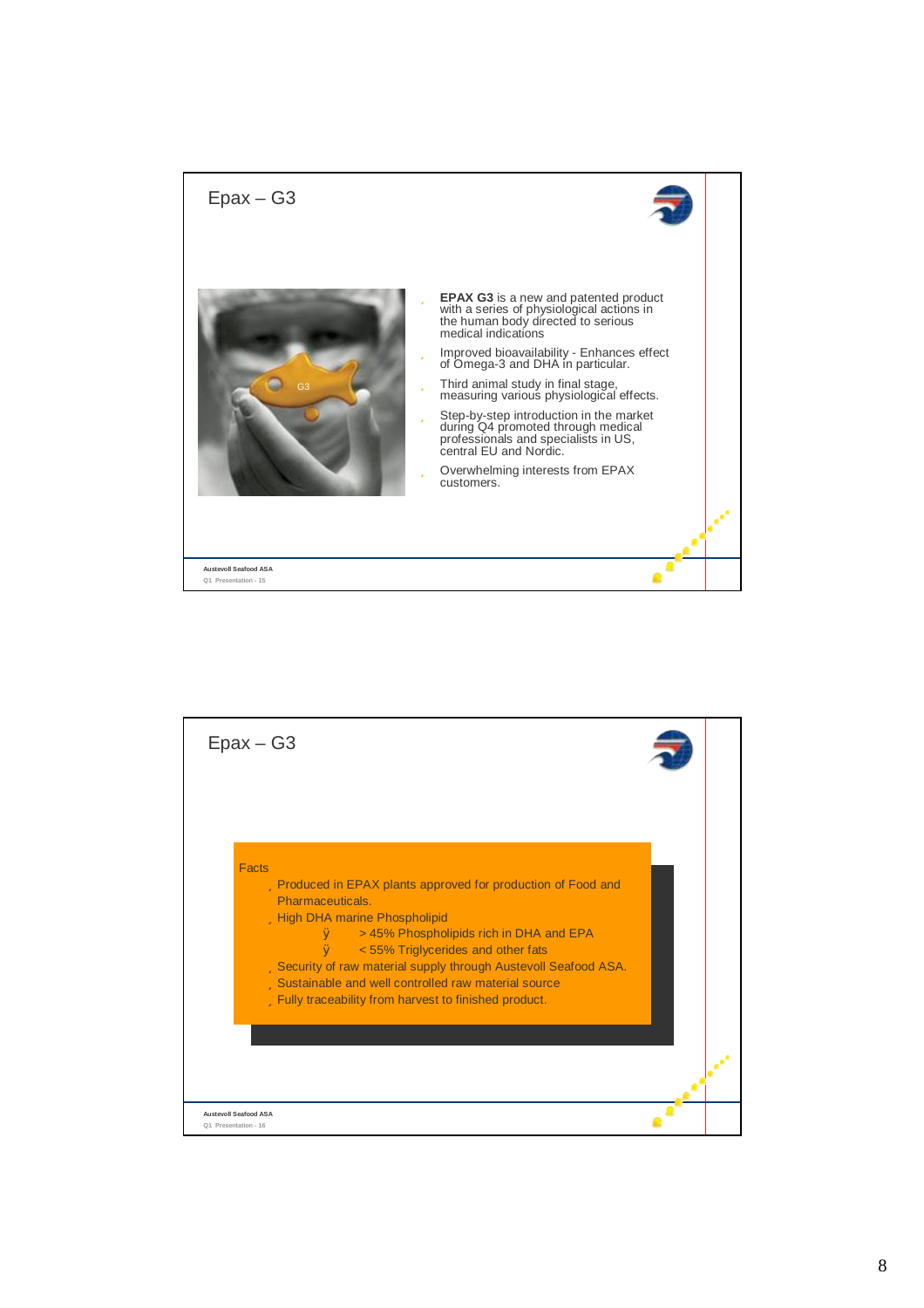

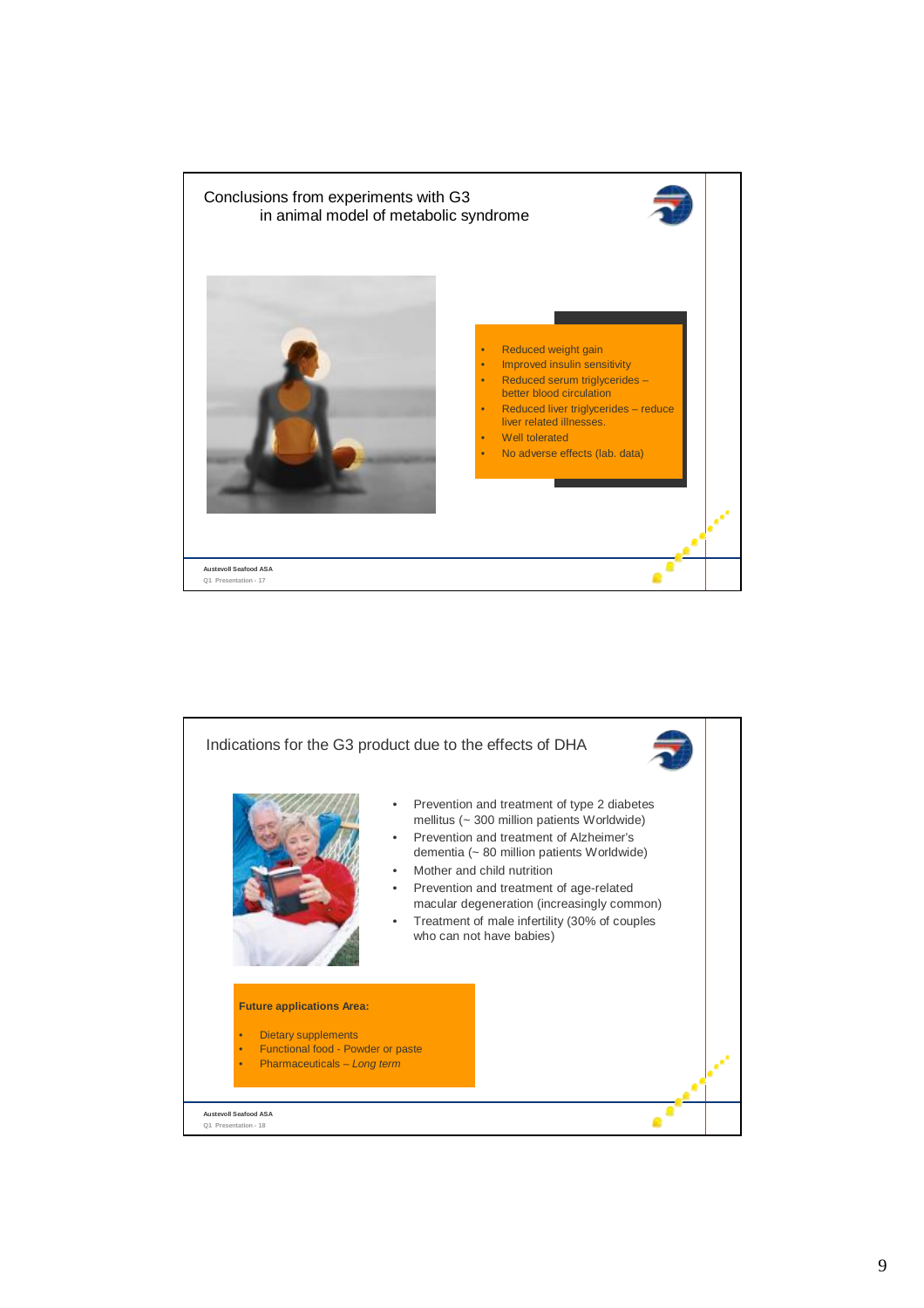

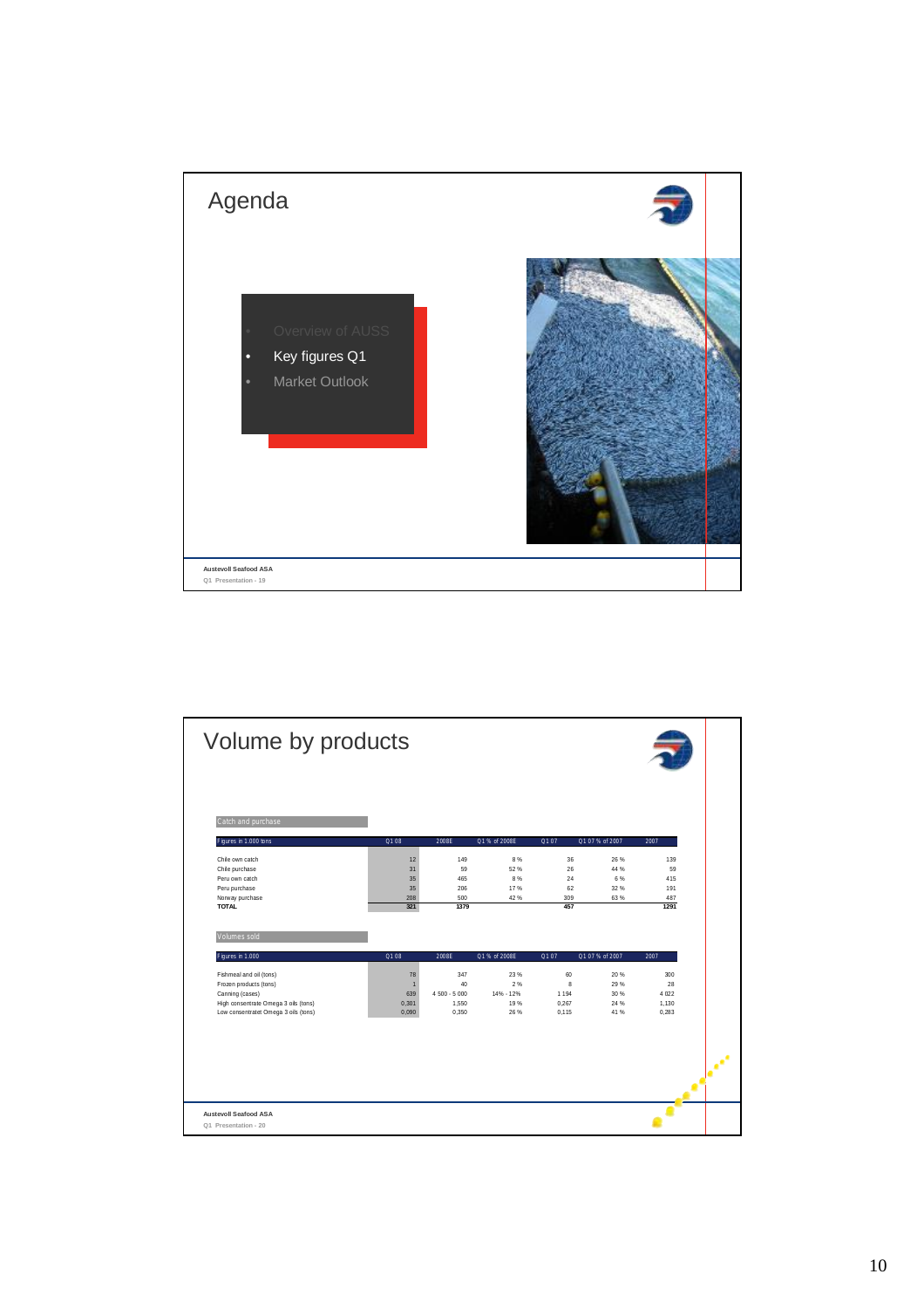

| Volume by products                          |                      |               |               |         |                 |           |
|---------------------------------------------|----------------------|---------------|---------------|---------|-----------------|-----------|
| Catch and purchase<br>Figures in 1.000 tons | Q108                 | 2008E         | Q1 % of 2008E | Q107    | Q1 07 % of 2007 | 2007      |
|                                             |                      |               |               |         |                 |           |
| Chile own catch                             | 12                   | 149           | 8%            | 36      | 26 %            | 139       |
| Chile purchase                              | 31                   | 59            | 52%           | 26      | 44 %            | 59        |
| Peru own catch                              | 35                   | 465           | 8%            | 24      | 6 %             | 415       |
| Peru purchase                               | 35                   | 206<br>500    | 17%           | 62      | 32 %            | 191       |
| Norway purchase                             |                      |               | 42 %          | 309     | 63%             | 487       |
| <b>TOTAL</b><br>Volumes sold                | 208<br>321           | 1379          |               | 457     |                 | 1291      |
| Figures in 1.000                            | Q1 08                | 2008E         | Q1 % of 2008E | Q107    | Q1 07 % of 2007 | 2007      |
|                                             |                      |               |               |         |                 |           |
| Fishmeal and oil (tons)                     | 78<br>$\blacksquare$ | 347<br>40     | 23 %<br>2%    | 60<br>8 | 20 %<br>29 %    | 300<br>28 |
| Frozen products (tons)<br>Canning (cases)   | 639                  | $4500 - 5000$ | 14% - 12%     | 1 1 9 4 | 30 %            | 4 0 2 2   |
| High consentrate Omega 3 oils (tons)        | 0,301                | 1,550         | 19%           | 0,267   | 24 %            | 1,130     |
| Low consentratet Omega 3 oils (tons)        | 0,090                | 0.350         | 26 %          | 0.115   | 41%             | 0.283     |
|                                             |                      |               |               |         |                 |           |
|                                             |                      |               |               |         |                 |           |
|                                             |                      |               |               |         |                 |           |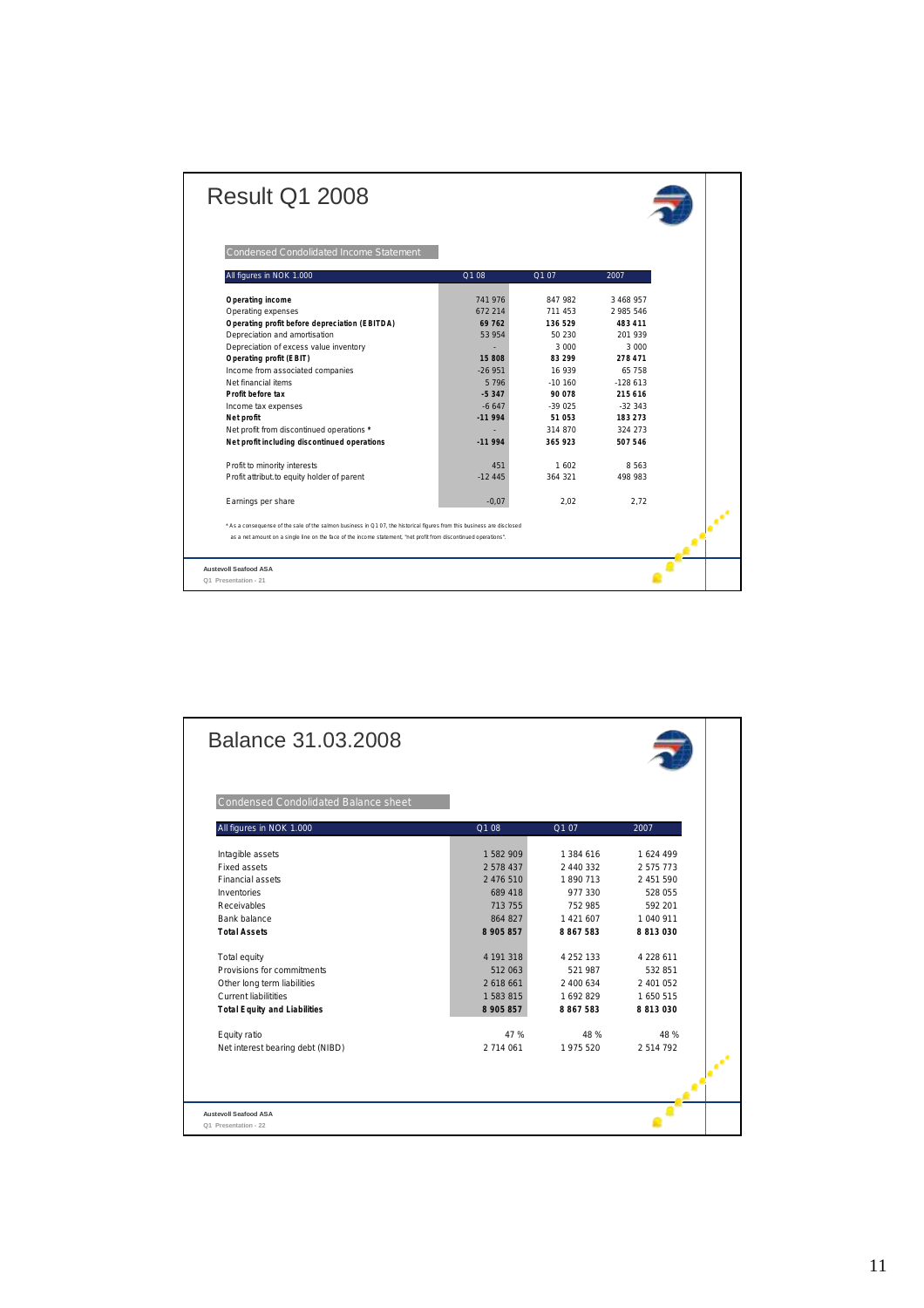| <b>Result Q1 2008</b>                                                                                                  |          |           |           |  |
|------------------------------------------------------------------------------------------------------------------------|----------|-----------|-----------|--|
| Condensed Condolidated Income Statement                                                                                |          |           |           |  |
| All figures in NOK 1.000                                                                                               | Q108     | Q1 07     | 2007      |  |
| Operating income                                                                                                       | 741976   | 847 982   | 3 468 957 |  |
| Operating expenses                                                                                                     | 672 214  | 711 453   | 2 985 546 |  |
| Operating profit before depreciation (EBITDA)                                                                          | 69 762   | 136 529   | 483 411   |  |
| Depreciation and amortisation                                                                                          | 53954    | 50 230    | 201 939   |  |
| Depreciation of excess value inventory                                                                                 |          | 3 000     | 3 000     |  |
| Operating profit (EBIT)                                                                                                | 15 808   | 83 299    | 278 471   |  |
| Income from associated companies                                                                                       | $-26951$ | 16 939    | 65758     |  |
| Net financial items                                                                                                    | 5796     | $-10,160$ | $-128613$ |  |
| Profit before tax                                                                                                      | $-5.347$ | 90 078    | 215616    |  |
| Income tax expenses                                                                                                    | $-6647$  | $-39.025$ | $-32.343$ |  |
| Net profit                                                                                                             | $-11994$ | 51 053    | 183 273   |  |
| Net profit from discontinued operations *                                                                              |          | 314 870   | 324 273   |  |
| Net profit including discontinued operations                                                                           | $-11994$ | 365 923   | 507546    |  |
| Profit to minority interests                                                                                           | 451      | 1 602     | 8 5 6 3   |  |
| Profit attribut to equity holder of parent                                                                             | $-1245$  | 364 321   | 498 983   |  |
| Earnings per share                                                                                                     | $-0.07$  | 2.02      | 2.72      |  |
| * As a consequense of the sale of the salmon business in Q107, the historical figures from this business are disclosed |          |           |           |  |
| as a net amount on a single line on the face of the income statement, "net profit from discontinued operations".       |          |           |           |  |
| <b>Austevoll Seafood ASA</b>                                                                                           |          |           |           |  |
| Q1 Presentation - 21                                                                                                   |          |           |           |  |

| Balance 31.03.2008                                   |           |               |           |  |
|------------------------------------------------------|-----------|---------------|-----------|--|
| Condensed Condolidated Balance sheet                 |           |               |           |  |
| All figures in NOK 1.000                             | Q1 08     | Q107          | 2007      |  |
| Intagible assets                                     | 1582909   | 1384 616      | 1624 499  |  |
| Fixed assets                                         | 2 578 437 | 2440332       | 2 575 773 |  |
| Financial assets                                     | 2 476 510 | 1890 713      | 2 451 590 |  |
| Inventories                                          | 689 418   | 977 330       | 528 055   |  |
| Receivables                                          | 713 755   | 752 985       | 592 201   |  |
| Bank balance                                         | 864 827   | 1421607       | 1 040 911 |  |
| <b>Total Assets</b>                                  | 8 905 857 | 8867583       | 8 813 030 |  |
| Total equity                                         | 4 191 318 | 4 2 5 2 1 3 3 | 4 228 611 |  |
| Provisions for commitments                           | 512 063   | 521 987       | 532 851   |  |
| Other long term liabilities                          | 2 618 661 | 2 400 634     | 2 401 052 |  |
| <b>Current liabilitities</b>                         | 1 583 815 | 1692829       | 1 650 515 |  |
| <b>Total Equity and Liabilities</b>                  | 8 905 857 | 8 8 6 7 5 8 3 | 8 813 030 |  |
| Equity ratio                                         | 47 %      | 48 %          | 48 %      |  |
| Net interest bearing debt (NIBD)                     | 2 714 061 | 1975 520      | 2514792   |  |
|                                                      |           |               |           |  |
| <b>Austevoll Seafood ASA</b><br>Q1 Presentation - 22 |           |               |           |  |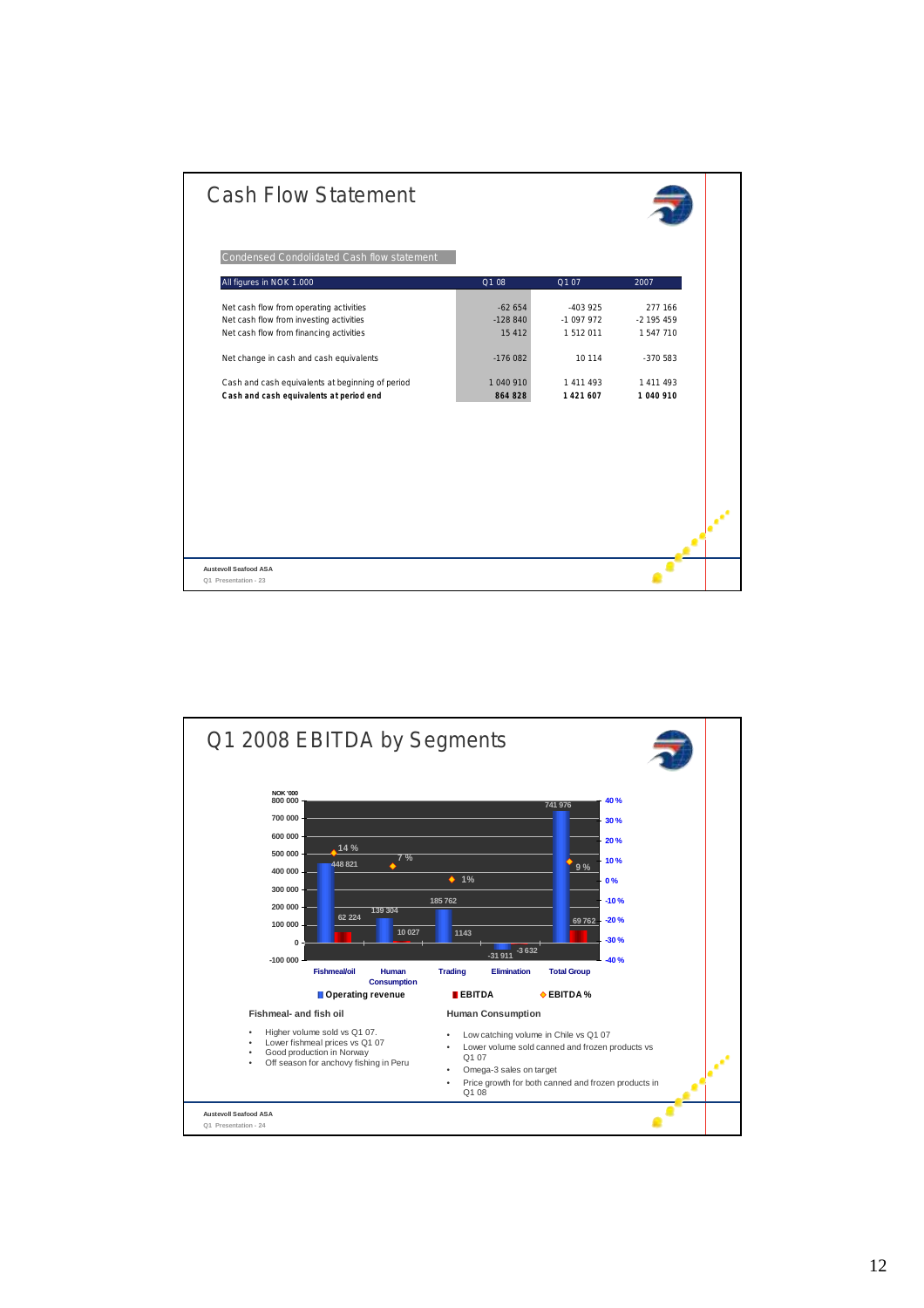| Condensed Condolidated Cash flow statement<br>All figures in NOK 1.000<br>Q1 08<br>Q107<br>2007<br>Net cash flow from operating activities<br>$-62654$<br>$-403925$<br>277 166<br>Net cash flow from investing activities<br>$-128840$<br>$-1097972$<br>$-2$ 195 459<br>Net cash flow from financing activities<br>15 4 12<br>1 512 011<br>1547710<br>Net change in cash and cash equivalents<br>$-176082$<br>10 114<br>$-370583$<br>1 040 910<br>Cash and cash equivalents at beginning of period<br>1 411 493<br>1 4 1 1 4 9 3<br>Cash and cash equivalents at period end<br>1421607<br>864 828<br>1 040 910 | <b>Cash Flow Statement</b> |  |  |
|----------------------------------------------------------------------------------------------------------------------------------------------------------------------------------------------------------------------------------------------------------------------------------------------------------------------------------------------------------------------------------------------------------------------------------------------------------------------------------------------------------------------------------------------------------------------------------------------------------------|----------------------------|--|--|
|                                                                                                                                                                                                                                                                                                                                                                                                                                                                                                                                                                                                                |                            |  |  |
|                                                                                                                                                                                                                                                                                                                                                                                                                                                                                                                                                                                                                |                            |  |  |
|                                                                                                                                                                                                                                                                                                                                                                                                                                                                                                                                                                                                                |                            |  |  |
|                                                                                                                                                                                                                                                                                                                                                                                                                                                                                                                                                                                                                |                            |  |  |
|                                                                                                                                                                                                                                                                                                                                                                                                                                                                                                                                                                                                                |                            |  |  |
|                                                                                                                                                                                                                                                                                                                                                                                                                                                                                                                                                                                                                |                            |  |  |
|                                                                                                                                                                                                                                                                                                                                                                                                                                                                                                                                                                                                                |                            |  |  |
|                                                                                                                                                                                                                                                                                                                                                                                                                                                                                                                                                                                                                |                            |  |  |
|                                                                                                                                                                                                                                                                                                                                                                                                                                                                                                                                                                                                                |                            |  |  |
|                                                                                                                                                                                                                                                                                                                                                                                                                                                                                                                                                                                                                |                            |  |  |
|                                                                                                                                                                                                                                                                                                                                                                                                                                                                                                                                                                                                                |                            |  |  |

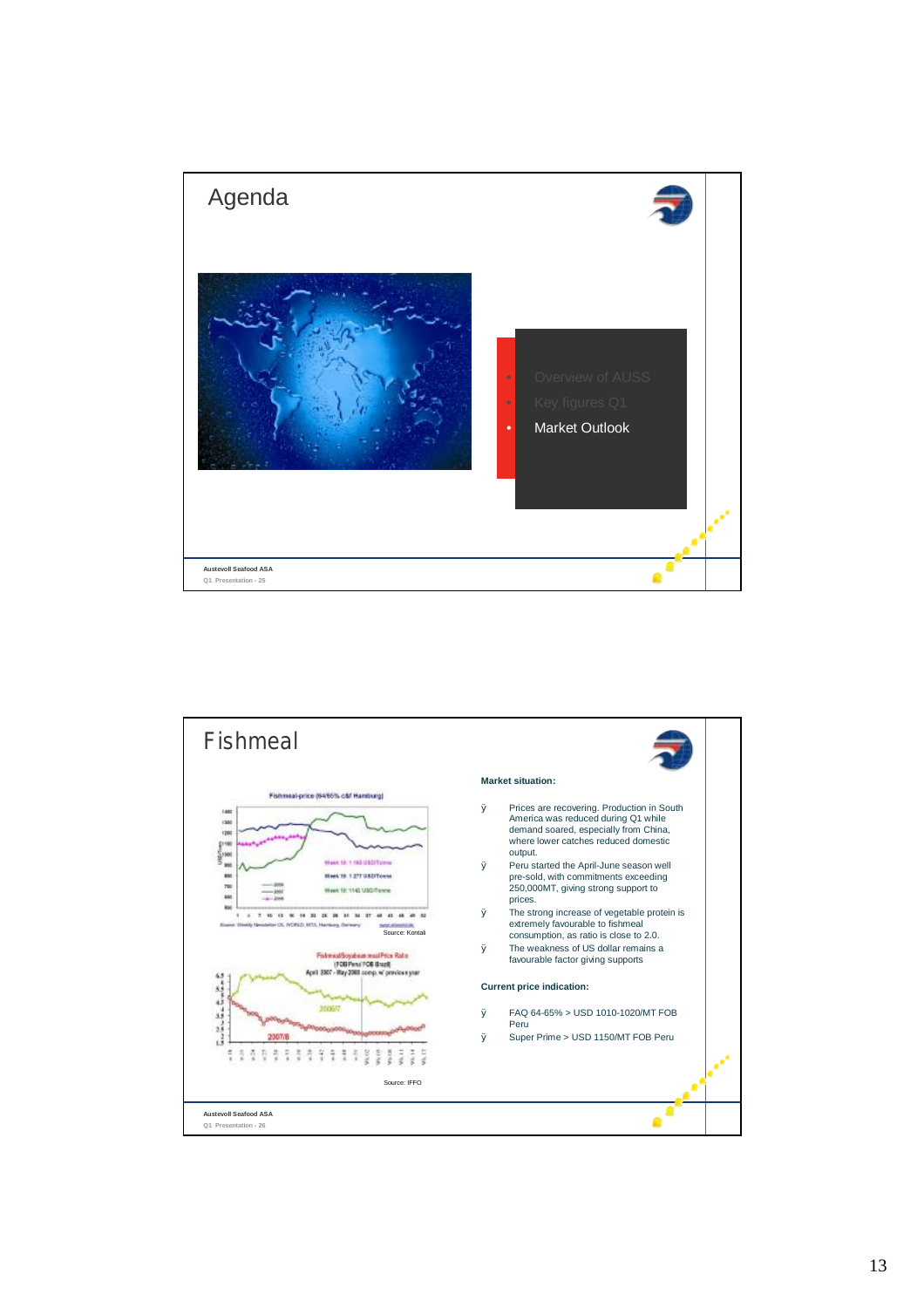

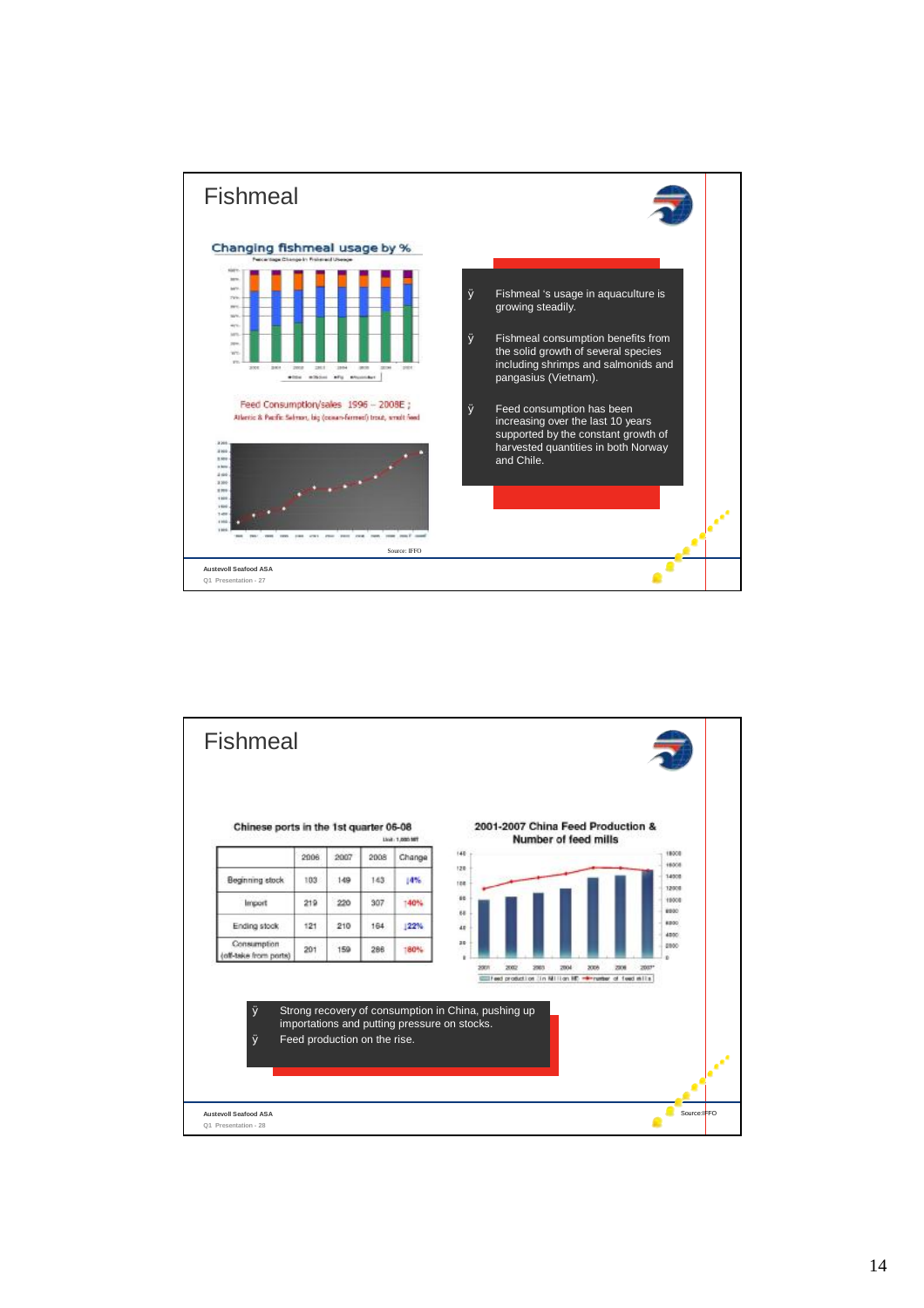

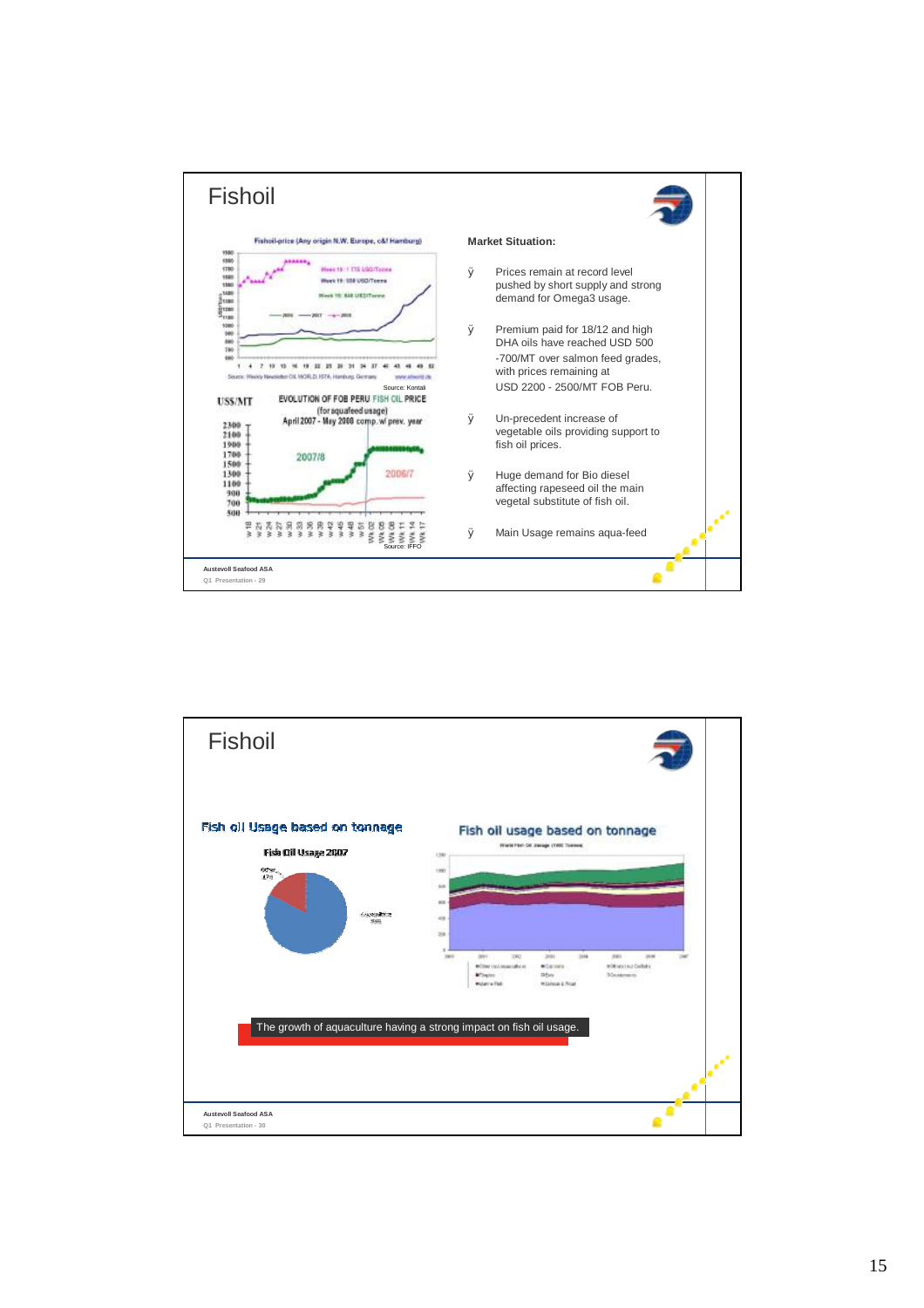

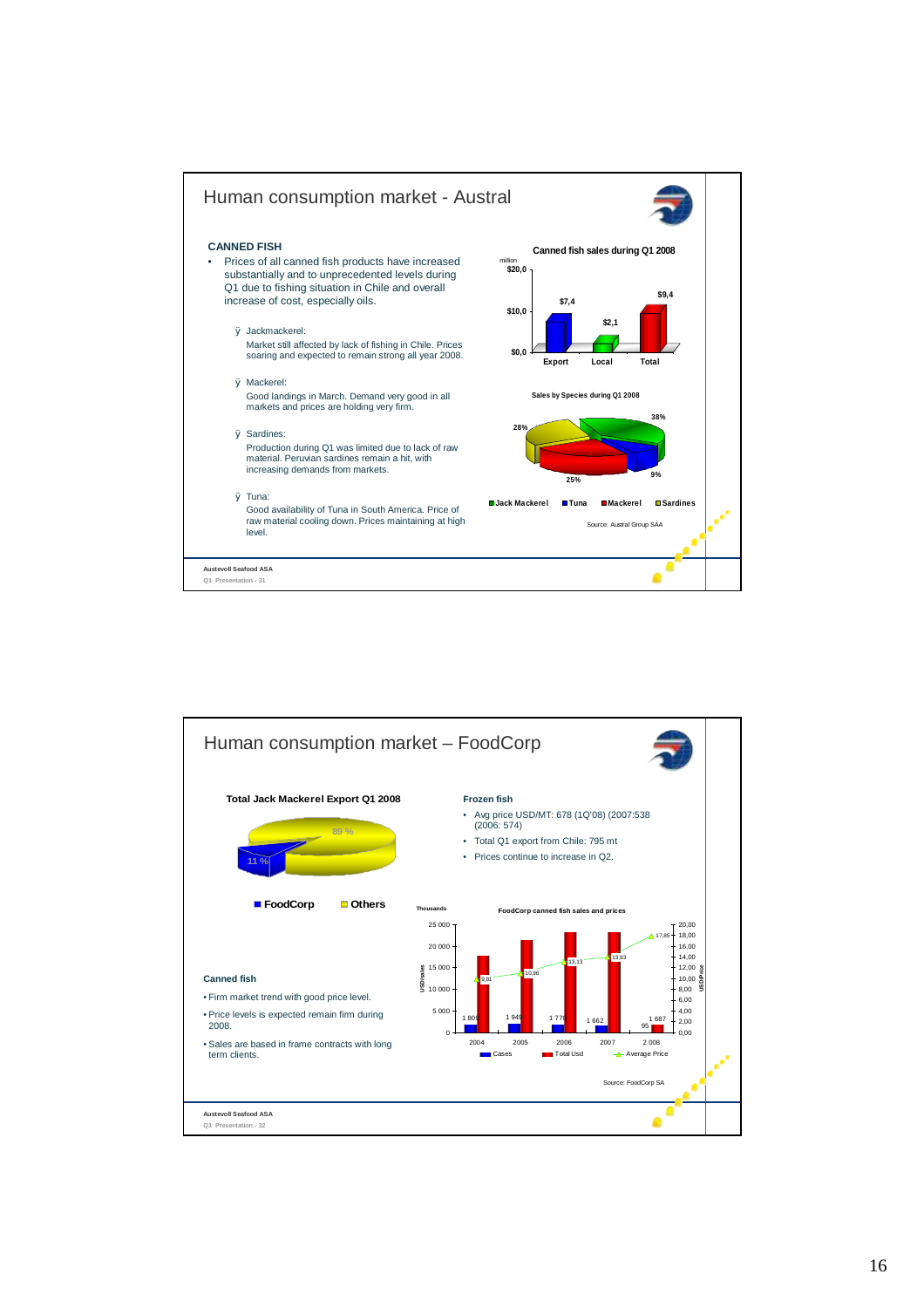

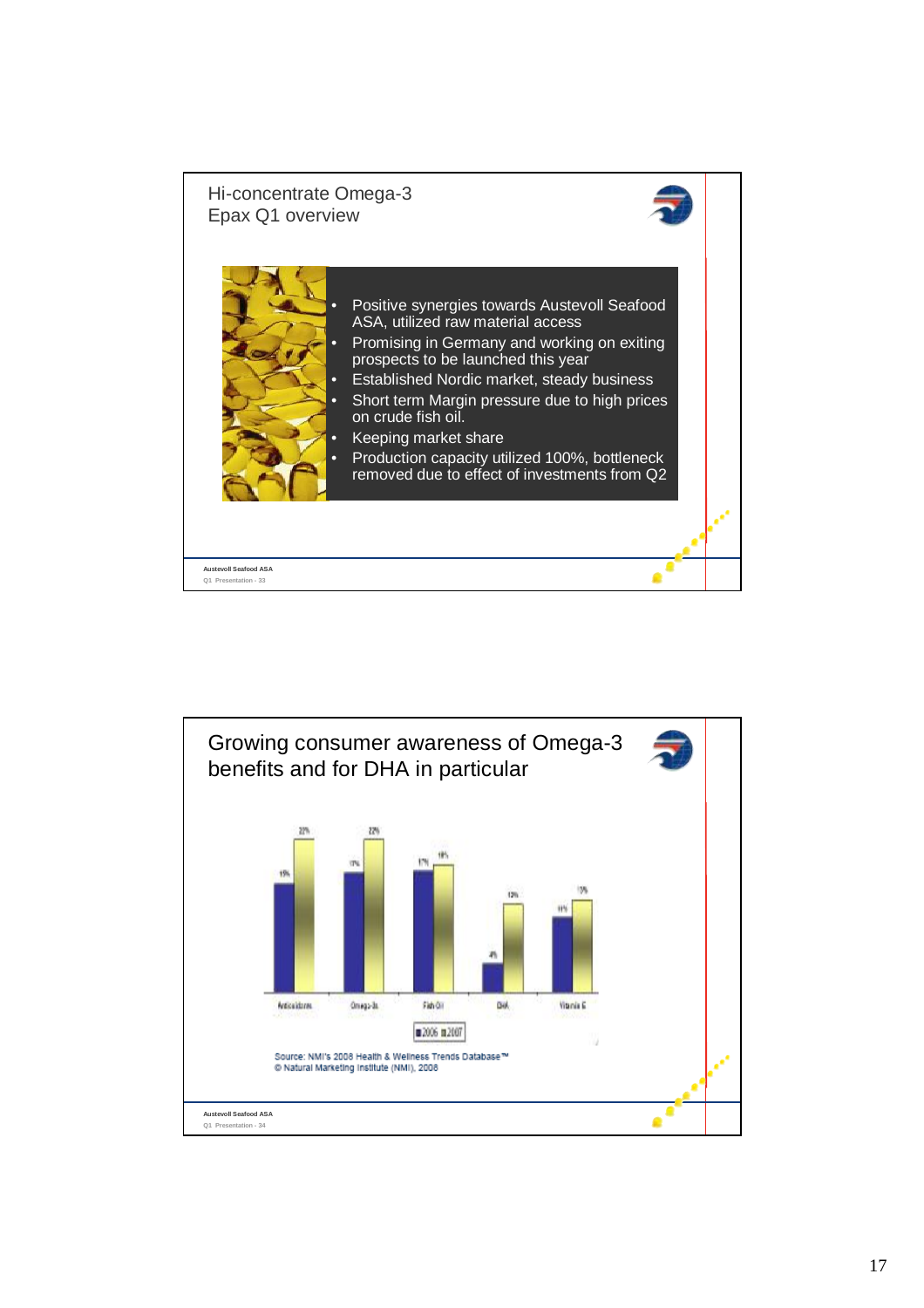